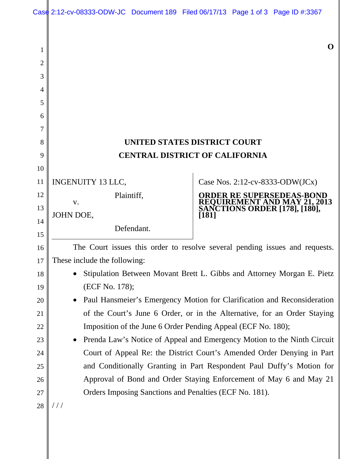|  | Case 2:12-cv-08333-ODW-JC Document 189 Filed 06/17/13 Page 1 of 3 Page ID #:3367 |  |  |  |  |
|--|----------------------------------------------------------------------------------|--|--|--|--|
|--|----------------------------------------------------------------------------------|--|--|--|--|

## **UNITED STATES DISTRICT COURT CENTRAL DISTRICT OF CALIFORNIA**

INGENUITY 13 LLC, 11

Plaintiff,

Defendant.

JOHN DOE,

1

2

3

4

5

6

7

8

9

10

12

13

14

15

16

17

18

19

20

21

22

23

24

25

26

27

v.

Case Nos. 2:12-cv-8333-ODW(JCx)

**ORDER RE SUPERSEDEAS-BOND REQUIREMENT AND MAY 21, 2013 SANCTIONS ORDER [178], [180], [181]** 

**O** 

The Court issues this order to resolve several pending issues and requests. These include the following:

- Stipulation Between Movant Brett L. Gibbs and Attorney Morgan E. Pietz (ECF No. 178);
- Paul Hansmeier's Emergency Motion for Clarification and Reconsideration of the Court's June 6 Order, or in the Alternative, for an Order Staying Imposition of the June 6 Order Pending Appeal (ECF No. 180);

• Prenda Law's Notice of Appeal and Emergency Motion to the Ninth Circuit Court of Appeal Re: the District Court's Amended Order Denying in Part and Conditionally Granting in Part Respondent Paul Duffy's Motion for Approval of Bond and Order Staying Enforcement of May 6 and May 21 Orders Imposing Sanctions and Penalties (ECF No. 181).

 $///$ 28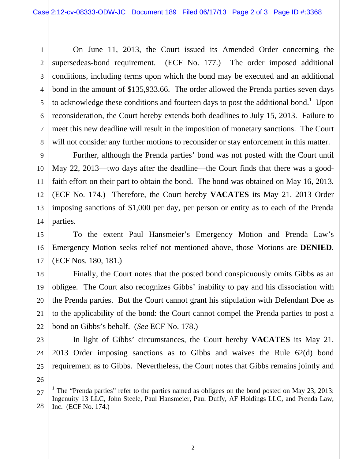1

2

3

4

5

6

7

8

9

10

11

12

13

14

15

16

17

18

19

20

21

22

23

24

25

26

On June 11, 2013, the Court issued its Amended Order concerning the supersedeas-bond requirement. (ECF No. 177.) The order imposed additional conditions, including terms upon which the bond may be executed and an additional bond in the amount of \$135,933.66. The order allowed the Prenda parties seven days to acknowledge these conditions and fourteen days to post the additional bond.<sup>1</sup> Upon reconsideration, the Court hereby extends both deadlines to July 15, 2013. Failure to meet this new deadline will result in the imposition of monetary sanctions. The Court will not consider any further motions to reconsider or stay enforcement in this matter.

Further, although the Prenda parties' bond was not posted with the Court until May 22, 2013—two days after the deadline—the Court finds that there was a goodfaith effort on their part to obtain the bond. The bond was obtained on May 16, 2013. (ECF No. 174.) Therefore, the Court hereby **VACATES** its May 21, 2013 Order imposing sanctions of \$1,000 per day, per person or entity as to each of the Prenda parties.

To the extent Paul Hansmeier's Emergency Motion and Prenda Law's Emergency Motion seeks relief not mentioned above, those Motions are **DENIED**. (ECF Nos. 180, 181.)

Finally, the Court notes that the posted bond conspicuously omits Gibbs as an obligee. The Court also recognizes Gibbs' inability to pay and his dissociation with the Prenda parties. But the Court cannot grant his stipulation with Defendant Doe as to the applicability of the bond: the Court cannot compel the Prenda parties to post a bond on Gibbs's behalf. (*See* ECF No. 178.)

In light of Gibbs' circumstances, the Court hereby **VACATES** its May 21, 2013 Order imposing sanctions as to Gibbs and waives the Rule 62(d) bond requirement as to Gibbs. Nevertheless, the Court notes that Gibbs remains jointly and

27 28  $\overline{\phantom{a}}$ <sup>1</sup> The "Prenda parties" refer to the parties named as obligees on the bond posted on May 23, 2013: Ingenuity 13 LLC, John Steele, Paul Hansmeier, Paul Duffy, AF Holdings LLC, and Prenda Law, Inc. (ECF No. 174.)

2